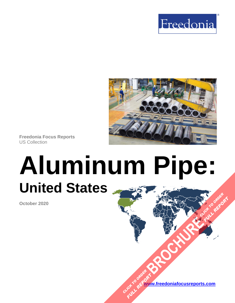



**Freedonia Focus Reports** US Collection

# **Aluminum Pipe: United States [BROCHURE](https://www.freedoniafocusreports.com/Aluminum-Pipe-United-States-FF70031/?progid=89541) CLICK TO ORDER**

**October 2020**

**[www.freedoniafocusreports.com](https://www.freedoniafocusreports.com/redirect.asp?progid=89534&url=/)** CLICK TO ORDER **FULL REPORT** 

**FULL REPORT**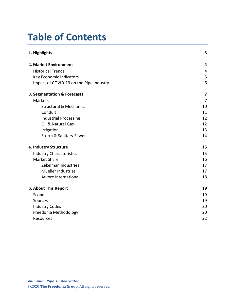# **Table of Contents**

| 1. Highlights                           | 3              |
|-----------------------------------------|----------------|
| 2. Market Environment                   | 4              |
| <b>Historical Trends</b>                | 4              |
| Key Economic Indicators                 | 5              |
| Impact of COVID-19 on the Pipe Industry | 6              |
| 3. Segmentation & Forecasts             | 7              |
| <b>Markets</b>                          | $\overline{7}$ |
| <b>Structural &amp; Mechanical</b>      | 10             |
| Conduit                                 | 11             |
| <b>Industrial Processing</b>            | 12             |
| Oil & Natural Gas                       | 12             |
| Irrigation                              | 13             |
| Storm & Sanitary Sewer                  | 14             |
| 4. Industry Structure                   | 15             |
| <b>Industry Characteristics</b>         | 15             |
| <b>Market Share</b>                     | 16             |
| Zekelman Industries                     | 17             |
| <b>Mueller Industries</b>               | 17             |
| Atkore International                    | 18             |
| 5. About This Report                    | 19             |
| Scope                                   | 19             |
| Sources                                 | 19             |
| <b>Industry Codes</b>                   | 20             |
| Freedonia Methodology                   | 20             |
| Resources                               | 22             |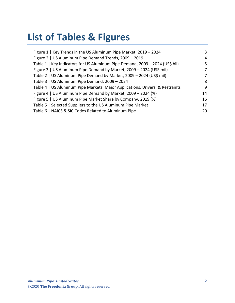# **List of Tables & Figures**

| Figure 1   Key Trends in the US Aluminum Pipe Market, 2019 - 2024             | 3  |
|-------------------------------------------------------------------------------|----|
| Figure 2   US Aluminum Pipe Demand Trends, 2009 - 2019                        | 4  |
| Table 1   Key Indicators for US Aluminum Pipe Demand, 2009 - 2024 (US\$ bil)  | 5  |
| Figure 3   US Aluminum Pipe Demand by Market, 2009 - 2024 (US\$ mil)          | 7  |
| Table 2   US Aluminum Pipe Demand by Market, 2009 - 2024 (US\$ mil)           | 7  |
| Table 3   US Aluminum Pipe Demand, 2009 - 2024                                | 8  |
| Table 4   US Aluminum Pipe Markets: Major Applications, Drivers, & Restraints | 9  |
| Figure 4   US Aluminum Pipe Demand by Market, 2009 - 2024 (%)                 | 14 |
| Figure 5   US Aluminum Pipe Market Share by Company, 2019 (%)                 | 16 |
| Table 5   Selected Suppliers to the US Aluminum Pipe Market                   | 17 |
| Table 6   NAICS & SIC Codes Related to Aluminum Pipe                          | 20 |
|                                                                               |    |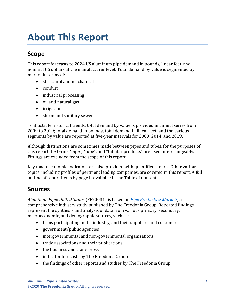# <span id="page-3-0"></span>**About This Report**

## <span id="page-3-1"></span>**Scope**

This report forecasts to 2024 US aluminum pipe demand in pounds, linear feet, and nominal US dollars at the manufacturer level. Total demand by value is segmented by market in terms of:

- structural and mechanical
- conduit
- industrial processing
- oil and natural gas
- irrigation
- storm and sanitary sewer

To illustrate historical trends, total demand by value is provided in annual series from 2009 to 2019; total demand in pounds, total demand in linear feet, and the various segments by value are reported at five-year intervals for 2009, 2014, and 2019.

Although distinctions are sometimes made between pipes and tubes, for the purposes of this report the terms "pipe", "tube", and "tubular products" are used interchangeably. Fittings are excluded from the scope of this report.

Key macroeconomic indicators are also provided with quantified trends. Other various topics, including profiles of pertinent leading companies, are covered in this report. A full outline of report items by page is available in the Table of Contents.

## <span id="page-3-2"></span>**Sources**

*Aluminum Pipe: United States* (FF70031) is based on *[Pipe Products & Markets,](http://www.freedoniagroup.com/DocumentDetails.aspx?ReferrerId=FL-FOCUS&studyid=3851)* a comprehensive industry study published by The Freedonia Group. Reported findings represent the synthesis and analysis of data from various primary, secondary, macroeconomic, and demographic sources, such as:

- firms participating in the industry, and their suppliers and customers
- government/public agencies
- intergovernmental and non-governmental organizations
- trade associations and their publications
- the business and trade press
- indicator forecasts by The Freedonia Group
- the findings of other reports and studies by The Freedonia Group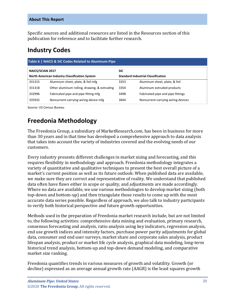Specific sources and additional resources are listed in the Resources section of this publication for reference and to facilitate further research.

## <span id="page-4-0"></span>**Industry Codes**

<span id="page-4-2"></span>

| Table 6   NAICS & SIC Codes Related to Aluminum Pipe |                                              |                                           |                                    |  |  |
|------------------------------------------------------|----------------------------------------------|-------------------------------------------|------------------------------------|--|--|
| <b>NAICS/SCIAN 2017</b>                              |                                              | <b>SIC</b>                                |                                    |  |  |
| North American Industry Classification System        |                                              | <b>Standard Industrial Classification</b> |                                    |  |  |
| 331315                                               | Aluminum sheet, plate, & foil mfg            | 3353                                      | Aluminum sheet, plate, & foil      |  |  |
| 331318                                               | Other aluminum rolling, drawing, & extruding | 3354                                      | Aluminum extruded products         |  |  |
| 332996                                               | Fabricated pipe and pipe fitting mfg         | 3498                                      | Fabricated pipe and pipe fittings  |  |  |
| 335932                                               | Noncurrent-carrying wiring device mfg        | 3644                                      | Noncurrent-carrying wiring devices |  |  |

Source: US Census Bureau

# <span id="page-4-1"></span>**Freedonia Methodology**

The Freedonia Group, a subsidiary of MarketResearch.com, has been in business for more than 30 years and in that time has developed a comprehensive approach to data analysis that takes into account the variety of industries covered and the evolving needs of our customers.

Every industry presents different challenges in market sizing and forecasting, and this requires flexibility in methodology and approach. Freedonia methodology integrates a variety of quantitative and qualitative techniques to present the best overall picture of a market's current position as well as its future outlook: When published data are available, we make sure they are correct and representative of reality. We understand that published data often have flaws either in scope or quality, and adjustments are made accordingly. Where no data are available, we use various methodologies to develop market sizing (both top-down and bottom-up) and then triangulate those results to come up with the most accurate data series possible. Regardless of approach, we also talk to industry participants to verify both historical perspective and future growth opportunities.

Methods used in the preparation of Freedonia market research include, but are not limited to, the following activities: comprehensive data mining and evaluation, primary research, consensus forecasting and analysis, ratio analysis using key indicators, regression analysis, end use growth indices and intensity factors, purchase power parity adjustments for global data, consumer and end user surveys, market share and corporate sales analysis, product lifespan analysis, product or market life cycle analysis, graphical data modeling, long-term historical trend analysis, bottom-up and top-down demand modeling, and comparative market size ranking.

Freedonia quantifies trends in various measures of growth and volatility. Growth (or decline) expressed as an average annual growth rate (AAGR) is the least squares growth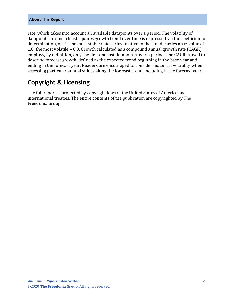#### **About This Report**

rate, which takes into account all available datapoints over a period. The volatility of datapoints around a least squares growth trend over time is expressed via the coefficient of determination, or r<sup>2</sup>. The most stable data series relative to the trend carries an r<sup>2</sup> value of 1.0; the most volatile – 0.0. Growth calculated as a compound annual growth rate (CAGR) employs, by definition, only the first and last datapoints over a period. The CAGR is used to describe forecast growth, defined as the expected trend beginning in the base year and ending in the forecast year. Readers are encouraged to consider historical volatility when assessing particular annual values along the forecast trend, including in the forecast year.

## **Copyright & Licensing**

The full report is protected by copyright laws of the United States of America and international treaties. The entire contents of the publication are copyrighted by The Freedonia Group.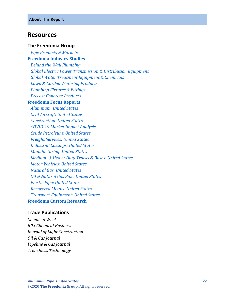#### <span id="page-6-0"></span>**Resources**

#### **The Freedonia Group**

 *[Pipe Products & Markets](http://www.freedoniagroup.com/DocumentDetails.aspx?ReferrerId=FL-FOCUS&studyid=3851)*

#### **[Freedonia Industry Studies](http://www.freedoniagroup.com/Home.aspx?ReferrerId=FL-Focus)**

 *[Behind the Wall Plumbing](http://www.freedoniagroup.com/DocumentDetails.aspx?ReferrerId=FL-FOCUS&studyid=3642) [Global Electric Power Transmission & Distribution Equipment](http://www.freedoniagroup.com/DocumentDetails.aspx?ReferrerId=FL-FOCUS&studyid=3805) [Global Water Treatment Equipment & Chemicals](http://www.freedoniagroup.com/DocumentDetails.aspx?ReferrerId=FL-FOCUS&studyid=3705) [Lawn & Garden Watering Products](http://www.freedoniagroup.com/DocumentDetails.aspx?ReferrerId=FL-FOCUS&studyid=3757) [Plumbing Fixtures & Fittings](http://www.freedoniagroup.com/DocumentDetails.aspx?ReferrerId=FL-FOCUS&studyid=3717) [Precast Concrete Products](http://www.freedoniagroup.com/DocumentDetails.aspx?ReferrerId=FL-FOCUS&studyid=3647)*

#### **[Freedonia Focus Reports](https://www.freedoniafocusreports.com/redirect.asp?progid=89534&url=/)**

 *[Aluminum: United States](https://www.freedoniafocusreports.com/Aluminum-United-States-FF65010/?progid=89534) [Civil Aircraft: United States](https://www.freedoniafocusreports.com/Civil-Aircraft-United-States-FF85011/?progid=89534) [Construction: United States](https://www.freedoniafocusreports.com/Construction-United-States-FF60054/?progid=89534) [COVID-19 Market Impact Analysis](https://www.freedoniafocusreports.com/COVID-19-Market-Impact-Analysis-FW95079/?progid=89534) [Crude Petroleum: United States](https://www.freedoniafocusreports.com/Crude-Petroleum-United-States-FF45019/?progid=89534) [Freight Services: United States](https://www.freedoniafocusreports.com/Freight-Services-United-States-FF95064/?progid=89534) [Industrial Castings: United States](https://www.freedoniafocusreports.com/pub/13435420.html/?progid=89534) [Manufacturing: United States](https://www.freedoniafocusreports.com/Manufacturing-United-States-FF70032/?progid=89534) Medium- [& Heavy-Duty Trucks & Buses: United States](https://www.freedoniafocusreports.com/Medium-Heavy-Duty-Trucks-Buses-United-States-FF85014/?progid=89534) [Motor Vehicles: United States](https://www.freedoniafocusreports.com/Motor-Vehicles-United-States-FF85029/?progid=89534) [Natural Gas: United States](https://www.freedoniafocusreports.com/Natural-Gas-United-States-FF45021/?progid=89534) [Oil & Natural Gas Pipe: United States](https://www.freedoniafocusreports.com/Oil-Natural-Gas-Pipe-United-States-FF45046/?progid=89534) [Plastic Pipe: United States](https://www.freedoniafocusreports.com/Plastic-Pipe-United-States-FF60034/?progid=89534) [Recovered Metals: United States](https://www.freedoniafocusreports.com/Recovered-Metals-United-States-FF65055/?progid=89534) [Transport Equipment: United States](https://www.freedoniafocusreports.com/Transport-Equipment-United-States-FF85030/?progid=89534)* **[Freedonia Custom Research](http://www.freedoniagroup.com/CustomResearch.aspx?ReferrerId=FL-Focus)**

#### **Trade Publications**

*Chemical Week ICIS Chemical Business Journal of Light Construction Oil & Gas Journal Pipeline & Gas Journal Trenchless Technology*